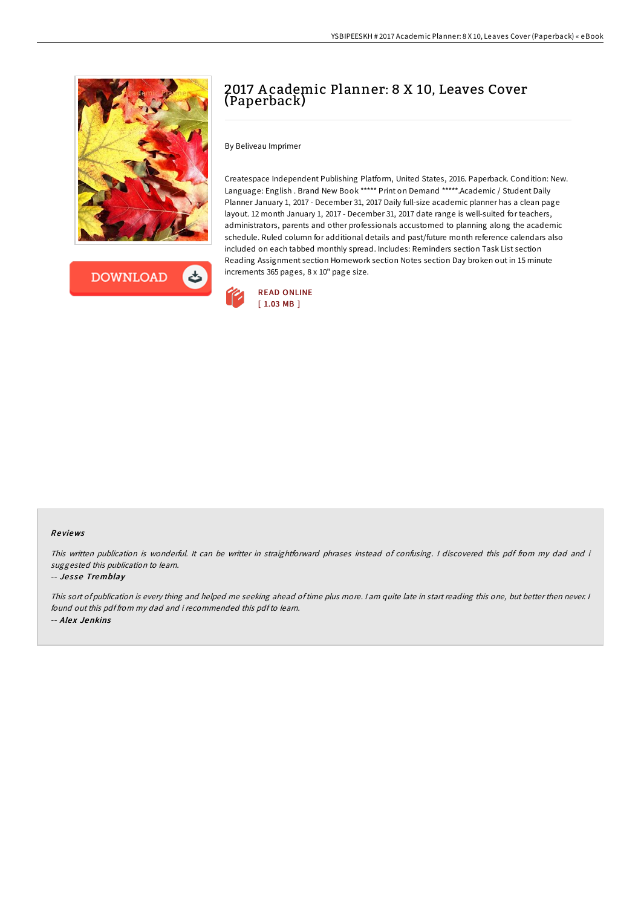



# 2017 A cademic Planner: 8 X 10, Leaves Cover (Paperback)

By Beliveau Imprimer

Createspace Independent Publishing Platform, United States, 2016. Paperback. Condition: New. Language: English . Brand New Book \*\*\*\*\* Print on Demand \*\*\*\*\*.Academic / Student Daily Planner January 1, 2017 - December 31, 2017 Daily full-size academic planner has a clean page layout. 12 month January 1, 2017 - December 31, 2017 date range is well-suited for teachers, administrators, parents and other professionals accustomed to planning along the academic schedule. Ruled column for additional details and past/future month reference calendars also included on each tabbed monthly spread. Includes: Reminders section Task List section Reading Assignment section Homework section Notes section Day broken out in 15 minute increments 365 pages, 8 x 10" page size.



### Re views

This written publication is wonderful. It can be writter in straightforward phrases instead of confusing. I discovered this pdf from my dad and i suggested this publication to learn.

#### -- Jesse Tremblay

This sort of publication is every thing and helped me seeking ahead oftime plus more. <sup>I</sup> am quite late in start reading this one, but better then never. <sup>I</sup> found out this pdf from my dad and i recommended this pdfto learn. -- Alex Jenkins